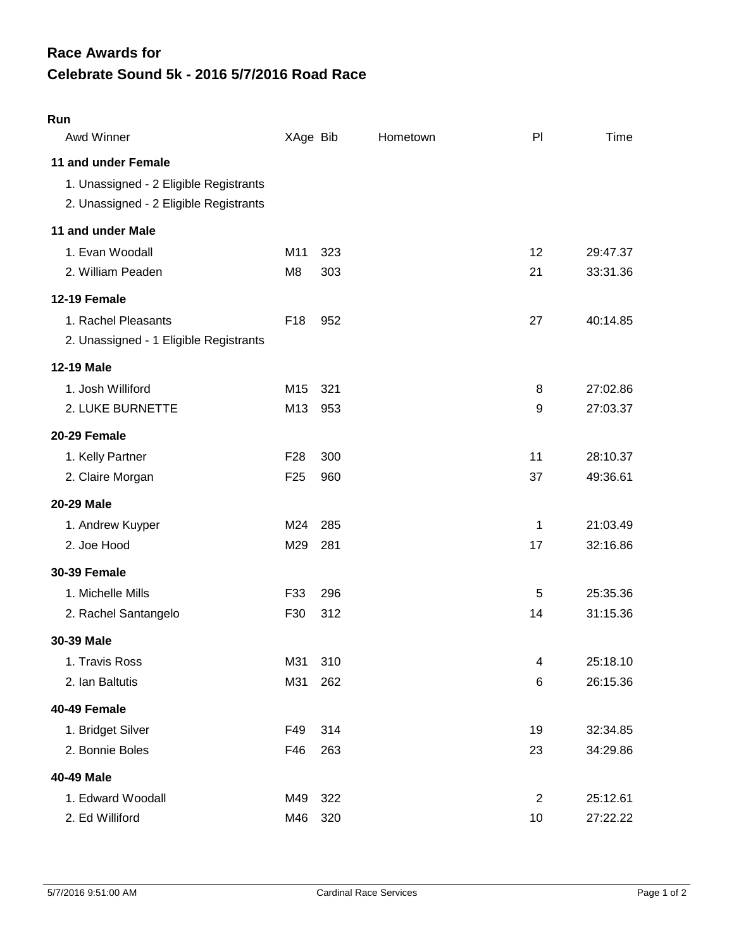## **Celebrate Sound 5k - 2016 5/7/2016 Road Race Race Awards for**

## **Run**

| Awd Winner                                                                                              | XAge Bib        |     | Hometown | P              | Time     |
|---------------------------------------------------------------------------------------------------------|-----------------|-----|----------|----------------|----------|
| 11 and under Female<br>1. Unassigned - 2 Eligible Registrants<br>2. Unassigned - 2 Eligible Registrants |                 |     |          |                |          |
| 11 and under Male                                                                                       |                 |     |          |                |          |
| 1. Evan Woodall                                                                                         | M11             | 323 |          | 12             | 29:47.37 |
| 2. William Peaden                                                                                       | M <sub>8</sub>  | 303 |          | 21             | 33:31.36 |
| 12-19 Female                                                                                            |                 |     |          |                |          |
| 1. Rachel Pleasants                                                                                     | F <sub>18</sub> | 952 |          | 27             | 40:14.85 |
| 2. Unassigned - 1 Eligible Registrants                                                                  |                 |     |          |                |          |
| <b>12-19 Male</b>                                                                                       |                 |     |          |                |          |
| 1. Josh Williford                                                                                       | M15             | 321 |          | 8              | 27:02.86 |
| 2. LUKE BURNETTE                                                                                        | M13             | 953 |          | 9              | 27:03.37 |
| 20-29 Female                                                                                            |                 |     |          |                |          |
| 1. Kelly Partner                                                                                        | F <sub>28</sub> | 300 |          | 11             | 28:10.37 |
| 2. Claire Morgan                                                                                        | F <sub>25</sub> | 960 |          | 37             | 49:36.61 |
| 20-29 Male                                                                                              |                 |     |          |                |          |
| 1. Andrew Kuyper                                                                                        | M24             | 285 |          | 1              | 21:03.49 |
| 2. Joe Hood                                                                                             | M29             | 281 |          | 17             | 32:16.86 |
| <b>30-39 Female</b>                                                                                     |                 |     |          |                |          |
| 1. Michelle Mills                                                                                       | F33             | 296 |          | 5              | 25:35.36 |
| 2. Rachel Santangelo                                                                                    | F30             | 312 |          | 14             | 31:15.36 |
| 30-39 Male                                                                                              |                 |     |          |                |          |
| 1. Travis Ross                                                                                          | M31             | 310 |          | 4              | 25:18.10 |
| 2. Ian Baltutis                                                                                         | M31             | 262 |          | 6              | 26:15.36 |
| 40-49 Female                                                                                            |                 |     |          |                |          |
| 1. Bridget Silver                                                                                       | F49             | 314 |          | 19             | 32:34.85 |
| 2. Bonnie Boles                                                                                         | F46             | 263 |          | 23             | 34:29.86 |
| 40-49 Male                                                                                              |                 |     |          |                |          |
| 1. Edward Woodall                                                                                       | M49             | 322 |          | $\overline{2}$ | 25:12.61 |
| 2. Ed Williford                                                                                         | M46             | 320 |          | 10             | 27:22.22 |